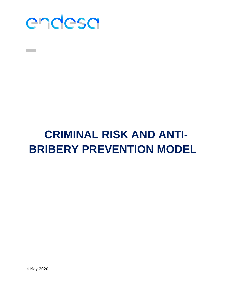

# **CRIMINAL RISK AND ANTI-BRIBERY PREVENTION MODEL**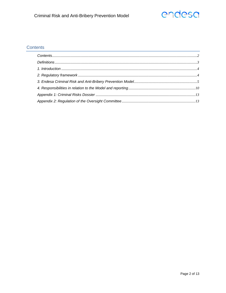# endesa

# <span id="page-1-0"></span>Contents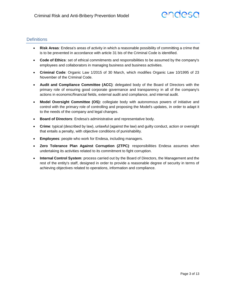# <span id="page-2-0"></span>**Definitions**

- **Risk Areas**: Endesa's areas of activity in which a reasonable possibility of committing a crime that is to be prevented in accordance with article 31 bis of the Criminal Code is identified.
- **Code of Ethics**: set of ethical commitments and responsibilities to be assumed by the company's employees and collaborators in managing business and business activities.
- **Criminal Code**: Organic Law 1/2015 of 30 March, which modifies Organic Law 10/1995 of 23 November of the Criminal Code.
- **Audit and Compliance Committee (ACC)**: delegated body of the Board of Directors with the primary role of ensuring good corporate governance and transparency in all of the company's actions in economic/financial fields, external audit and compliance, and internal audit.
- **Model Oversight Committee (OS):** collegiate body with autonomous powers of initiative and control with the primary role of controlling and proposing the Model's updates, in order to adapt it to the needs of the company and legal changes.
- **Board of Directors**: Endesa's administrative and representative body.
- **Crime**: typical (described by law), unlawful (against the law) and guilty conduct, action or oversight that entails a penalty, with objective conditions of punishability.
- **Employees**: people who work for Endesa, including managers.
- **Zero Tolerance Plan Against Corruption (ZTPC)**: responsibilities Endesa assumes when undertaking its activities related to its commitment to fight corruption.
- **Internal Control System**: process carried out by the Board of Directors, the Management and the rest of the entity's staff, designed in order to provide a reasonable degree of security in terms of achieving objectives related to operations, information and compliance.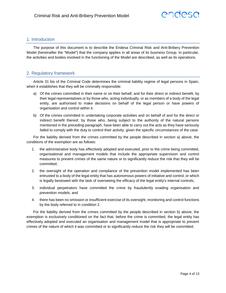# <span id="page-3-0"></span>1. Introduction

The purpose of this document is to describe the Endesa Criminal Risk and Anti-Bribery Prevention Model (hereinafter the "Model") that the company applies in all areas of its business Group. In particular, the activities and bodies involved in the functioning of the Model are described, as well as its operations.

# <span id="page-3-1"></span>2. Regulatory framework

Article 31 bis of the Criminal Code determines the criminal liability regime of legal persons in Spain, when it establishes that they will be criminally responsible:

- a) Of the crimes committed in their name or on their behalf, and for their direct or indirect benefit, by their legal representatives or by those who, acting individually, or as members of a body of the legal entity, are authorised to make decisions on behalf of the legal person or have powers of organisation and control within it.
- b) Of the crimes committed in undertaking corporate activities and on behalf of and for the direct or indirect benefit thereof, by those who, being subject to the authority of the natural persons mentioned in the preceding paragraph, have been able to carry out the acts as they have seriously failed to comply with the duty to control their activity, given the specific circumstances of the case.

For the liability derived from the crimes committed by the people described in section a) above, the conditions of the exemption are as follows:

- 1. the administrative body has effectively adopted and executed, prior to the crime being committed, organisational and management models that include the appropriate supervision and control measures to prevent crimes of the same nature or to significantly reduce the risk that they will be committed;
- 2. the oversight of the operation and compliance of the prevention model implemented has been entrusted to a body of the legal entity that has autonomous powers of initiative and control, or which is legally bestowed with the task of overseeing the efficacy of the legal entity's internal controls;
- 3. individual perpetrators have committed the crime by fraudulently evading organisation and prevention models; and
- 4. there has been no omission or insufficient exercise of its oversight, monitoring and control functions by the body referred to in condition 2.

For the liability derived from the crimes committed by the people described in section b) above, the exemption is exclusively conditioned on the fact that, before the crime is committed, the legal entity has effectively adopted and executed an organisation and management model that is appropriate to prevent crimes of the nature of which it was committed or to significantly reduce the risk they will be committed.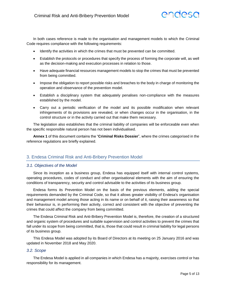# endesa

In both cases reference is made to the organisation and management models to which the Criminal Code requires compliance with the following requirements:

- Identify the activities in which the crimes that must be prevented can be committed.
- Establish the protocols or procedures that specify the process of forming the corporate will, as well as the decision-making and execution processes in relation to those.
- Have adequate financial resources management models to stop the crimes that must be prevented from being committed.
- Impose the obligation to report possible risks and breaches to the body in charge of monitoring the operation and observance of the prevention model.
- Establish a disciplinary system that adequately penalises non-compliance with the measures established by the model.
- Carry out a periodic verification of the model and its possible modification when relevant infringements of its provisions are revealed, or when changes occur in the organisation, in the control structure or in the activity carried out that make them necessary.

The legislation also establishes that the criminal liability of companies will be enforceable even when the specific responsible natural person has not been individualised.

**Annex 1** of this document contains the "**Criminal Risks Dossier**", where the crimes categorised in the reference regulations are briefly explained.

# <span id="page-4-0"></span>3. Endesa Criminal Risk and Anti-Bribery Prevention Model

## *3.1. Objectives of the Model*

Since its inception as a business group, Endesa has equipped itself with internal control systems, operating procedures, codes of conduct and other organisational elements with the aim of ensuring the conditions of transparency, security and control advisable to the activities of its business group.

Endesa forms its Prevention Model on the basis of the previous elements, adding the special requirements demanded by the Criminal Code, so that it allows greater visibility of Endesa's organisation and management model among those acting in its name or on behalf of it, raising their awareness so that their behaviour is, in performing their activity, correct and consistent with the objective of preventing the crimes that could affect the company from being committed.

The Endesa Criminal Risk and Anti-Bribery Prevention Model is, therefore, the creation of a structured and organic system of procedures and suitable supervision and control activities to prevent the crimes that fall under its scope from being committed, that is, those that could result in criminal liability for legal persons of its business group.

This Endesa Model was adopted by its Board of Directors at its meeting on 25 January 2016 and was updated in November 2018 and May 2020.

#### *3.2. Scope*

The Endesa Model is applied in all companies in which Endesa has a majority, exercises control or has responsibility for its management.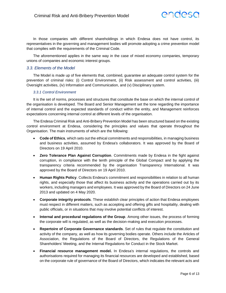

In those companies with different shareholdings in which Endesa does not have control, its representatives in the governing and management bodies will promote adopting a crime prevention model that complies with the requirements of the Criminal Code.

The aforementioned applies in the same way in the case of mixed economy companies, temporary unions of companies and economic interest groups.

#### *3.3. Elements of the Model*

The Model is made up of five elements that, combined, guarantee an adequate control system for the prevention of criminal risks: (i) Control Environment, (ii) Risk assessment and control activities, (iii) Oversight activities, (iv) Information and Communication, and (v) Disciplinary system.

#### *3.3.1 Control Environment*

It is the set of norms, processes and structures that constitute the base on which the internal control of the organisation is developed. The Board and Senior Management set the tone regarding the importance of internal control and the expected standards of conduct within the entity, and Management reinforces expectations concerning internal control at different levels of the organisation.

The Endesa Criminal Risk and Anti-Bribery Prevention Model has been structured based on the existing control environment at Endesa, considering the principles and values that operate throughout the Organisation. The main instruments of which are the following:

- **Code of Ethics**, which sets out the ethical commitments and responsibilities, in managing business and business activities, assumed by Endesa's collaborators. It was approved by the Board of Directors on 19 April 2010.
- **Zero Tolerance Plan Against Corruption**. Commitments made by Endesa in the fight against corruption, in compliance with the tenth principle of the Global Compact and by applying the transparency criteria recommended by the organisation Transparency International. It was approved by the Board of Directors on 19 April 2010.
- **Human Rights Policy**. Collects Endesa's commitment and responsibilities in relation to all human rights, and especially those that affect its business activity and the operations carried out by its workers, including managers and employees. It was approved by the Board of Directors on 24 June 2013 and updated on 4 May 2020.
- **Corporate integrity protocols**. These establish clear principles of action that Endesa employees must respect in different matters, such as accepting and offering gifts and hospitality, dealing with public officials, or in situations that may involve potential conflicts of interest.
- **Internal and procedural regulations of the Group**. Among other issues, the process of forming the corporate will is regulated, as well as the decision-making and execution processes.
- **Repertoire of Corporate Governance standards**. Set of rules that regulate the constitution and activity of the company, as well as how its governing bodies operate. Others include the Articles of Association, the Regulations of the Board of Directors, the Regulations of the General Shareholders' Meeting, and the Internal Regulations for Conduct in the Stock Market.
- **Financial resource management model.** In Endesa's internal regulations, the controls and authorisations required for managing its financial resources are developed and established, based on the corporate rule of governance of the Board of Directors, which indicates the relevant acts and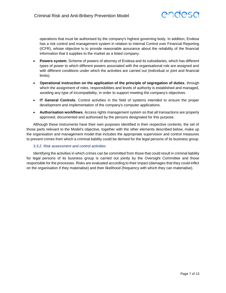

operations that must be authorised by the company's highest governing body. In addition, Endesa has a risk control and management system in relation to Internal Control over Financial Reporting (ICFR), whose objective is to provide reasonable assurance about the reliability of the financial information that it supplies to the market as a listed company.

- **Powers system**. Scheme of powers of attorney of Endesa and its subsidiaries, which has different types of power to which different powers associated with the organisational role are assigned and with different conditions under which the activities are carried out (individual or joint and financial limits).
- **Operational instruction on the application of the principle of segregation of duties**, through which the assignment of roles, responsibilities and levels of authority is established and managed, avoiding any type of incompatibility, in order to support meeting the company's objectives.
- **IT General Controls**. Control activities in the field of systems intended to ensure the proper development and implementation of the company's computer applications.
- **Authorisation workflows**. Access rights management system so that all transactions are properly approved, documented and authorised by the persons designated for this purpose.

Although these instruments have their own purposes identified in their respective contents, the set of those parts relevant to the Model's objective, together with the other elements described below, make up the organisation and management model that includes the appropriate supervision and control measures to prevent crimes from which a criminal liability could be derived for the legal persons of its business group.

#### *3.3.2. Risk assessment and control activities*

Identifying the activities in which crimes can be committed from those that could result in criminal liability for legal persons of its business group is carried out jointly by the Oversight Committee and those responsible for the processes. Risks are evaluated according to their impact (damages that they could inflict on the organisation if they materialise) and their likelihood (frequency with which they can materialise).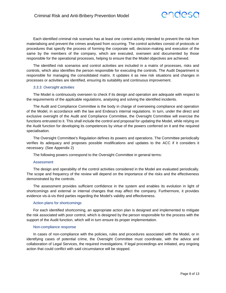

Each identified criminal risk scenario has at least one control activity intended to prevent the risk from materialising and prevent the crimes analysed from occurring. The control activities consist of protocols or procedures that specify the process of forming the corporate will, decision-making and execution of the same by the members of the company, which are executed, overseen and documented by those responsible for the operational processes, helping to ensure that the Model objectives are achieved.

The identified risk scenarios and control activities are included in a matrix of processes, risks and controls, which also identifies the person responsible for executing the controls. The Audit Department is responsible for managing the consolidated matrix. It updates it as new risk situations and changes in processes or activities are identified, ensuring its suitability and continuous improvement.

#### *3.3.3. Oversight activities*

The Model is continuously overseen to check if its design and operation are adequate with respect to the requirements of the applicable regulations, analysing and solving the identified incidents.

The Audit and Compliance Committee is the body in charge of overseeing compliance and operation of the Model, in accordance with the law and Endesa's internal regulations. In turn, under the direct and exclusive oversight of the Audit and Compliance Committee, the Oversight Committee will exercise the functions entrusted to it. This shall include the control and proposal for updating the Model, while relying on the Audit function for developing its competences by virtue of the powers conferred on it and the required specialisation.

The Oversight Committee's Regulation defines its powers and operations. The Committee periodically verifies its adequacy and proposes possible modifications and updates to the ACC if it considers it necessary. (See Appendix 2)

The following powers correspond to the Oversight Committee in general terms:

#### Assessment

The design and operability of the control activities considered in the Model are evaluated periodically. The scope and frequency of the review will depend on the importance of the risks and the effectiveness demonstrated by the controls.

The assessment provides sufficient confidence in the system and enables its evolution in light of shortcomings and external or internal changes that may affect the company. Furthermore, it provides evidence vis-à-vis third parties regarding the Model's validity and effectiveness.

#### Action plans for shortcomings

For each identified shortcoming, an appropriate action plan is designed and implemented to mitigate the risk associated with poor control, which is designed by the person responsible for the process with the support of the Audit function, which will in turn ensure its proper implementation.

#### Non-compliance response

In cases of non-compliance with the policies, rules and procedures associated with the Model, or in identifying cases of potential crime, the Oversight Committee must coordinate, with the advice and collaboration of Legal Services, the required investigations. If legal proceedings are initiated, any ongoing action that could conflict with said circumstance will be stopped.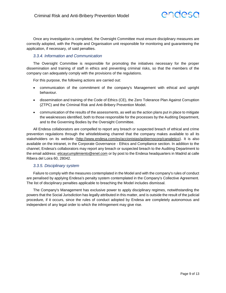

Once any investigation is completed, the Oversight Committee must ensure disciplinary measures are correctly adopted, with the People and Organisation unit responsible for monitoring and guaranteeing the application, if necessary, of said penalties.

## *3.3.4. Information and Communication*

The Oversight Committee is responsible for promoting the initiatives necessary for the proper dissemination and training of staff in ethics and preventing criminal risks, so that the members of the company can adequately comply with the provisions of the regulations.

For this purpose, the following actions are carried out:

- communication of the commitment of the company's Management with ethical and upright behaviour.
- dissemination and training of the Code of Ethics (CE), the Zero Tolerance Plan Against Corruption (ZTPC) and the Criminal Risk and Anti-Bribery Prevention Model.
- communication of the results of the assessments, as well as the action plans put in place to mitigate the weaknesses identified, both to those responsible for the processes by the Auditing Department, and to the Governing Bodies by the Oversight Committee.

All Endesa collaborators are compelled to report any breach or suspected breach of ethical and crime prevention regulations through the whistleblowing channel that the company makes available to all its stakeholders on its website [\(http://www.endesa.com/es/accionistas/gobiernocorp/canaletico\)](http://www.endesa.com/es/accionistas/gobiernocorp/canaletico). It is also available on the intranet, in the Corporate Governance - Ethics and Compliance section. In addition to the channel, Endesa's collaborators may report any breach or suspected breach to the Auditing Department to the email address[: eticaycumplimiento@enel.com](mailto:eticaycumplimiento@enel.com) or by post to the Endesa headquarters in Madrid at calle Ribera del Loira 60, 28042.

## *3.3.5. Disciplinary system*

Failure to comply with the measures contemplated in the Model and with the company's rules of conduct are penalised by applying Endesa's penalty system contemplated in the Company's Collective Agreement. The list of disciplinary penalties applicable to breaching the Model includes dismissal.

The Company's Management has exclusive power to apply disciplinary regimes, notwithstanding the powers that the Social Jurisdiction has legally attributed in this matter, and is outside the result of the judicial procedure, if it occurs, since the rules of conduct adopted by Endesa are completely autonomous and independent of any legal order to which the infringement may give rise.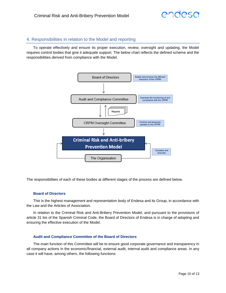# <span id="page-9-0"></span>4. Responsibilities in relation to the Model and reporting

To operate effectively and ensure its proper execution, review, oversight and updating, the Model requires control bodies that give it adequate support. The below chart reflects the defined scheme and the responsibilities derived from compliance with the Model.



The responsibilities of each of these bodies at different stages of the process are defined below.

#### **Board of Directors**

This is the highest management and representation body of Endesa and its Group, in accordance with the Law and the Articles of Association.

In relation to the Criminal Risk and Anti-Bribery Prevention Model, and pursuant to the provisions of article 31 bis of the Spanish Criminal Code, the Board of Directors of Endesa is in charge of adopting and ensuring the effective execution of the Model.

#### **Audit and Compliance Committee of the Board of Directors**

The main function of this Committee will be to ensure good corporate governance and transparency in all company actions in the economic/financial, external audit, internal audit and compliance areas. In any case it will have, among others, the following functions: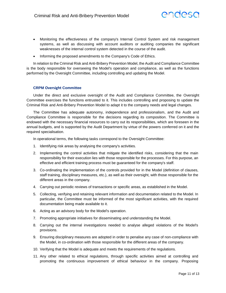

- Monitoring the effectiveness of the company's Internal Control System and risk management systems, as well as discussing with account auditors or auditing companies the significant weaknesses of the internal control system detected in the course of the audit.
- Informing the proposed amendments to the Company's Code of Ethics.

In relation to the Criminal Risk and Anti-Bribery Prevention Model, the Audit and Compliance Committee is the body responsible for overseeing the Model's operation and compliance, as well as the functions performed by the Oversight Committee, including controlling and updating the Model.

#### **CRPM Oversight Committee**

Under the direct and exclusive oversight of the Audit and Compliance Committee, the Oversight Committee exercises the functions entrusted to it. This includes controlling and proposing to update the Criminal Risk and Anti-Bribery Prevention Model to adapt it to the company needs and legal changes.

The Committee has adequate autonomy, independence and professionalism, and the Audit and Compliance Committee is responsible for the decisions regarding its composition. The Committee is endowed with the necessary financial resources to carry out its responsibilities, which are foreseen in the annual budgets, and is supported by the Audit Department by virtue of the powers conferred on it and the required specialisation.

In operational terms, the following tasks correspond to the Oversight Committee:

- 1. Identifying risk areas by analysing the company's activities.
- 2. Implementing the control activities that mitigate the identified risks, considering that the main responsibility for their execution lies with those responsible for the processes. For this purpose, an effective and efficient training process must be guaranteed for the company's staff.
- 3. Co-ordinating the implementation of the controls provided for in the Model (definition of clauses, staff training, disciplinary measures, etc.), as well as their oversight, with those responsible for the different areas in the company.
- 4. Carrying out periodic reviews of transactions or specific areas, as established in the Model.
- 5. Collecting, verifying and retaining relevant information and documentation related to the Model. In particular, the Committee must be informed of the most significant activities, with the required documentation being made available to it.
- 6. Acting as an advisory body for the Model's operation.
- 7. Promoting appropriate initiatives for disseminating and understanding the Model.
- 8. Carrying out the internal investigations needed to analyse alleged violations of the Model's provisions.
- 9. Ensuring disciplinary measures are adopted in order to penalise any case of non-compliance with the Model, in co-ordination with those responsible for the different areas of the company.
- 10. Verifying that the Model is adequate and meets the requirements of the regulations.
- 11. Any other related to ethical regulations, through specific activities aimed at controlling and promoting the continuous improvement of ethical behaviour in the company. Proposing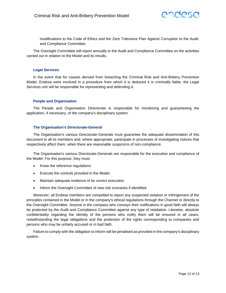

modifications to the Code of Ethics and the Zero Tolerance Plan Against Corruption to the Audit and Compliance Committee.

The Oversight Committee will report annually to the Audit and Compliance Committee on the activities carried out in relation to the Model and its results.

#### **Legal Services**

In the event that for causes derived from breaching the Criminal Risk and Anti-Bribery Prevention Model, Endesa were involved in a procedure from which it is deduced it is criminally liable, the Legal Services unit will be responsible for representing and defending it.

#### **People and Organisation**

The People and Organisation Directorate is responsible for monitoring and guaranteeing the application, if necessary, of the company's disciplinary system.

#### **The Organisation's Directorate-General**

The Organisation's various Directorate-Generals must guarantee the adequate dissemination of this document to all its members and, where appropriate, participate in processes of investigating notices that respectively affect them, when there are reasonable suspicions of non-compliance.

The Organisation's various Directorate-Generals are responsible for the execution and compliance of the Model. For this purpose, they must:

- Know the reference regulations
- Execute the controls provided in the Model.
- Maintain adequate evidence of its correct execution.
- Inform the Oversight Committee of new risk scenarios if identified.

Moreover, all Endesa members are compelled to report any suspected violation or infringement of the principles contained in the Model or in the company's ethical regulations through the Channel or directly to the Oversight Committee. Anyone in the company who conveys their notifications in good faith will always be protected by the Audit and Compliance Committee against any type of retaliation. Likewise, absolute confidentiality regarding the identity of the persons who notify them will be ensured in all cases, notwithstanding the legal obligations and the protection of the rights corresponding to companies and persons who may be unfairly accused or in bad faith.

Failure to comply with the obligation to inform will be penalised as provided in the company's disciplinary system.